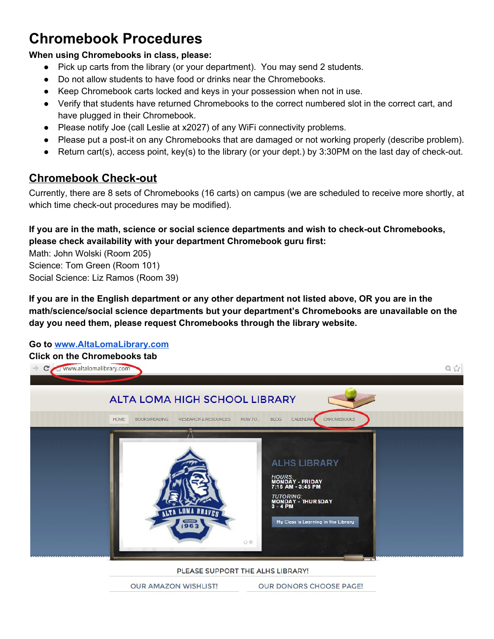# **Chromebook Procedures**

#### **When using Chromebooks in class, please:**

- Pick up carts from the library (or your department). You may send 2 students.
- Do not allow students to have food or drinks near the Chromebooks.
- Keep Chromebook carts locked and keys in your possession when not in use.
- Verify that students have returned Chromebooks to the correct numbered slot in the correct cart, and have plugged in their Chromebook.
- Please notify Joe (call Leslie at x2027) of any WiFi connectivity problems.
- Please put a post-it on any Chromebooks that are damaged or not working properly (describe problem).
- **•** Return cart(s), access point, key(s) to the library (or your dept.) by 3:30PM on the last day of check-out.

## **Chromebook Check-out**

Currently, there are 8 sets of Chromebooks (16 carts) on campus (we are scheduled to receive more shortly, at which time check-out procedures may be modified).

### **If you are in the math, science or social science departments and wish to checkout Chromebooks, please check availability with your department Chromebook guru first:**

Math: John Wolski (Room 205) Science: Tom Green (Room 101) Social Science: Liz Ramos (Room 39)

If you are in the English department or any other department not listed above, OR you are in the **math/science/social science departments but your department's Chromebooks are unavailable on the day you need them, please request Chromebooks through the library website.**

### **Go to [www.AltaLomaLibrary.com](http://www.altalomalibrary.com/)**

#### **Click on the Chromebooks tab**



PLEASE SUPPORT THE ALHS LIBRARY!

**OUR AMAZON WISHLIST!** OUR DONORS CHOOSE PAGE!